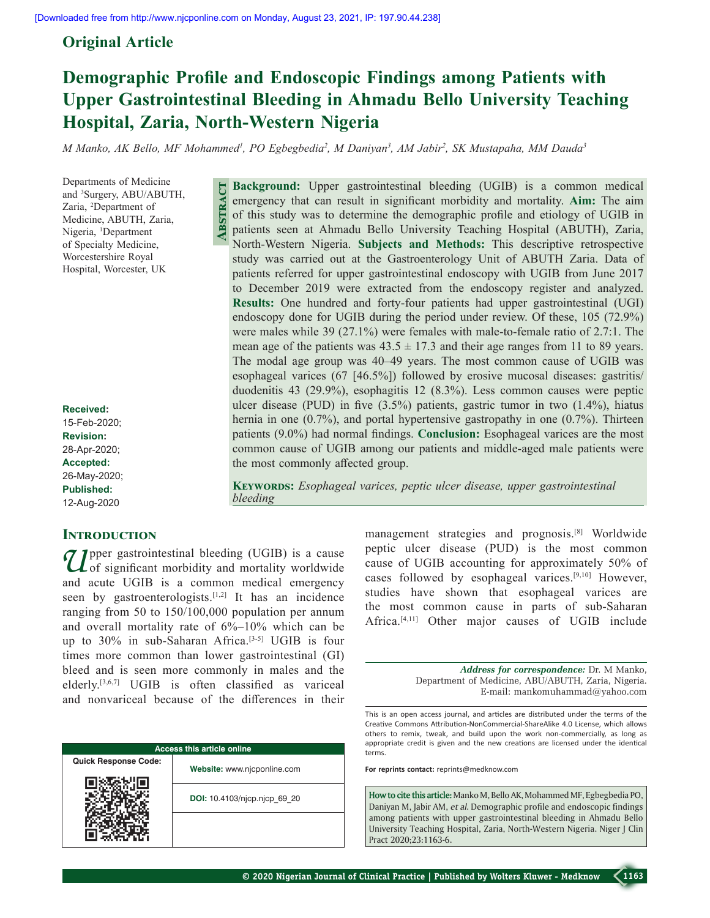**Abstract**

# **Original Article**

# **Demographic Profile and Endoscopic Findings among Patients with Upper Gastrointestinal Bleeding in Ahmadu Bello University Teaching Hospital, Zaria, North-Western Nigeria**

*M Manko, AK Bello, MF Mohammed1 , PO Egbegbedia2 , M Daniyan3 , AM Jabir2 , SK Mustapaha, MM Dauda3*

Departments of Medicine and 3 Surgery, ABU/ABUTH, Zaria, 2 Department of Medicine, ABUTH, Zaria, Nigeria, <sup>1</sup>Department of Specialty Medicine, Worcestershire Royal Hospital, Worcester, UK

**Received:** 15-Feb-2020; **Revision:** 28-Apr-2020; **Accepted:** 26-May-2020; **Published:** 12-Aug-2020

## **Introduction**

**1** pper gastrointestinal bleeding (UGIB) is a cause L of significant morbidity and mortality worldwide and acute UGIB is a common medical emergency seen by gastroenterologists.<sup>[1,2]</sup> It has an incidence ranging from 50 to 150/100,000 population per annum and overall mortality rate of 6%–10% which can be up to 30% in sub-Saharan Africa.<sup>[3-5]</sup> UGIB is four times more common than lower gastrointestinal (GI) bleed and is seen more commonly in males and the elderly.[3,6,7] UGIB is often classified as variceal and nonvariceal because of the differences in their

| <b>Access this article online</b> |                              |  |  |  |
|-----------------------------------|------------------------------|--|--|--|
| <b>Quick Response Code:</b>       | Website: www.njcponline.com  |  |  |  |
|                                   | DOI: 10.4103/njcp.njcp 69 20 |  |  |  |
|                                   |                              |  |  |  |

**Background:** Upper gastrointestinal bleeding (UGIB) is a common medical emergency that can result in significant morbidity and mortality. **Aim:** The aim of this study was to determine the demographic profile and etiology of UGIB in patients seen at Ahmadu Bello University Teaching Hospital (ABUTH), Zaria, North‑Western Nigeria. **Subjects and Methods:** This descriptive retrospective study was carried out at the Gastroenterology Unit of ABUTH Zaria. Data of patients referred for upper gastrointestinal endoscopy with UGIB from June 2017 to December 2019 were extracted from the endoscopy register and analyzed. **Results:** One hundred and forty-four patients had upper gastrointestinal (UGI) endoscopy done for UGIB during the period under review. Of these, 105 (72.9%) were males while 39 (27.1%) were females with male-to-female ratio of 2.7:1. The mean age of the patients was  $43.5 \pm 17.3$  and their age ranges from 11 to 89 years. The modal age group was 40–49 years. The most common cause of UGIB was esophageal varices (67 [46.5%]) followed by erosive mucosal diseases: gastritis/ duodenitis 43 (29.9%), esophagitis 12 (8.3%). Less common causes were peptic ulcer disease (PUD) in five  $(3.5%)$  patients, gastric tumor in two  $(1.4%)$ , hiatus hernia in one (0.7%), and portal hypertensive gastropathy in one (0.7%). Thirteen patients (9.0%) had normal findings. **Conclusion:** Esophageal varices are the most common cause of UGIB among our patients and middle‑aged male patients were the most commonly affected group.

**Keywords:** *Esophageal varices, peptic ulcer disease, upper gastrointestinal bleeding*

> management strategies and prognosis.[8] Worldwide peptic ulcer disease (PUD) is the most common cause of UGIB accounting for approximately 50% of cases followed by esophageal varices.[9,10] However, studies have shown that esophageal varices are the most common cause in parts of sub‑Saharan Africa.[4,11] Other major causes of UGIB include

> > *Address for correspondence:* Dr. M Manko, Department of Medicine, ABU/ABUTH, Zaria, Nigeria. E‑mail: mankomuhammad@yahoo.com

This is an open access journal, and articles are distributed under the terms of the Creative Commons Attribution‑NonCommercial‑ShareAlike 4.0 License, which allows others to remix, tweak, and build upon the work non‑commercially, as long as appropriate credit is given and the new creations are licensed under the identical terms.

**For reprints contact:** reprints@medknow.com

**How to cite this article:**Manko M, Bello AK, Mohammed MF, Egbegbedia PO, Daniyan M, Jabir AM, *et al*. Demographic profile and endoscopic findings among patients with upper gastrointestinal bleeding in Ahmadu Bello University Teaching Hospital, Zaria, North-Western Nigeria. Niger J Clin Pract 2020;23:1163-6.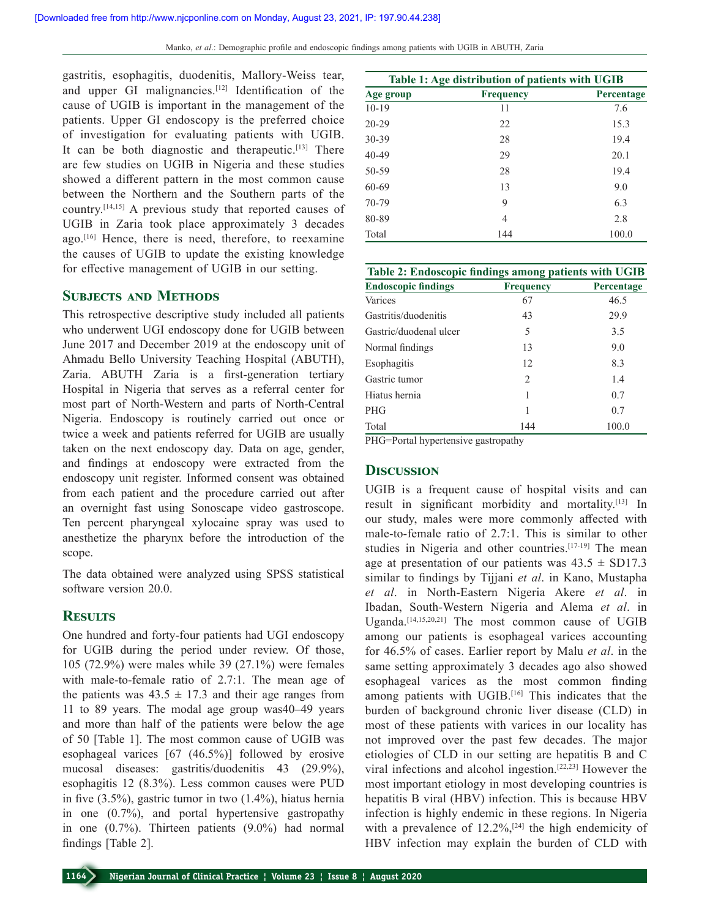gastritis, esophagitis, duodenitis, Mallory‑Weiss tear, and upper GI malignancies.<sup>[12]</sup> Identification of the cause of UGIB is important in the management of the patients. Upper GI endoscopy is the preferred choice of investigation for evaluating patients with UGIB. It can be both diagnostic and therapeutic.<sup>[13]</sup> There are few studies on UGIB in Nigeria and these studies showed a different pattern in the most common cause between the Northern and the Southern parts of the country.[14,15] A previous study that reported causes of UGIB in Zaria took place approximately 3 decades ago.<sup>[16]</sup> Hence, there is need, therefore, to reexamine the causes of UGIB to update the existing knowledge for effective management of UGIB in our setting.

### **Subjects and Methods**

This retrospective descriptive study included all patients who underwent UGI endoscopy done for UGIB between June 2017 and December 2019 at the endoscopy unit of Ahmadu Bello University Teaching Hospital (ABUTH), Zaria. ABUTH Zaria is a first‑generation tertiary Hospital in Nigeria that serves as a referral center for most part of North‑Western and parts of North‑Central Nigeria. Endoscopy is routinely carried out once or twice a week and patients referred for UGIB are usually taken on the next endoscopy day. Data on age, gender, and findings at endoscopy were extracted from the endoscopy unit register. Informed consent was obtained from each patient and the procedure carried out after an overnight fast using Sonoscape video gastroscope. Ten percent pharyngeal xylocaine spray was used to anesthetize the pharynx before the introduction of the scope.

The data obtained were analyzed using SPSS statistical software version 20.0.

### **Results**

One hundred and forty‑four patients had UGI endoscopy for UGIB during the period under review. Of those, 105 (72.9%) were males while 39 (27.1%) were females with male-to-female ratio of 2.7:1. The mean age of the patients was  $43.5 \pm 17.3$  and their age ranges from 11 to 89 years. The modal age group was40–49 years and more than half of the patients were below the age of 50 [Table 1]. The most common cause of UGIB was esophageal varices [67 (46.5%)] followed by erosive mucosal diseases: gastritis/duodenitis 43 (29.9%), esophagitis 12 (8.3%). Less common causes were PUD in five (3.5%), gastric tumor in two (1.4%), hiatus hernia in one (0.7%), and portal hypertensive gastropathy in one (0.7%). Thirteen patients (9.0%) had normal findings [Table 2].

| Table 1: Age distribution of patients with UGIB |                  |            |  |
|-------------------------------------------------|------------------|------------|--|
| Age group                                       | <b>Frequency</b> | Percentage |  |
| $10-19$                                         | 11               | 7.6        |  |
| $20 - 29$                                       | 22               | 15.3       |  |
| 30-39                                           | 28               | 19.4       |  |
| 40-49                                           | 29               | 20.1       |  |
| 50-59                                           | 28               | 19.4       |  |
| 60-69                                           | 13               | 9.0        |  |
| 70-79                                           | 9                | 6.3        |  |
| 80-89                                           | 4                | 2.8        |  |
| Total                                           | 144              | 100.0      |  |

| Table 2: Endoscopic findings among patients with UGIB |                  |            |  |
|-------------------------------------------------------|------------------|------------|--|
| <b>Endoscopic findings</b>                            | <b>Frequency</b> | Percentage |  |
| Varices                                               | 67               | 46.5       |  |
| Gastritis/duodenitis                                  | 43               | 29.9       |  |
| Gastric/duodenal ulcer                                | 5                | 3.5        |  |
| Normal findings                                       | 13               | 9.0        |  |
| Esophagitis                                           | 12               | 8.3        |  |
| Gastric tumor                                         | 2                | 1.4        |  |
| Hiatus hernia                                         | 1                | 0.7        |  |
| <b>PHG</b>                                            | 1                | 0.7        |  |
| Total                                                 | 144              | 100.0      |  |

PHG=Portal hypertensive gastropathy

## **Discussion**

UGIB is a frequent cause of hospital visits and can result in significant morbidity and mortality.<sup>[13]</sup> In our study, males were more commonly affected with male-to-female ratio of 2.7:1. This is similar to other studies in Nigeria and other countries.<sup>[17-19]</sup> The mean age at presentation of our patients was  $43.5 \pm SD17.3$ similar to findings by Tijjani *et al*. in Kano, Mustapha *et al*. in North‑Eastern Nigeria Akere *et al*. in Ibadan, South‑Western Nigeria and Alema *et al*. in Uganda.[14,15,20,21] The most common cause of UGIB among our patients is esophageal varices accounting for 46.5% of cases. Earlier report by Malu *et al*. in the same setting approximately 3 decades ago also showed esophageal varices as the most common finding among patients with UGIB.<sup>[16]</sup> This indicates that the burden of background chronic liver disease (CLD) in most of these patients with varices in our locality has not improved over the past few decades. The major etiologies of CLD in our setting are hepatitis B and C viral infections and alcohol ingestion.[22,23] However the most important etiology in most developing countries is hepatitis B viral (HBV) infection. This is because HBV infection is highly endemic in these regions. In Nigeria with a prevalence of  $12.2\%$ ,  $[24]$  the high endemicity of HBV infection may explain the burden of CLD with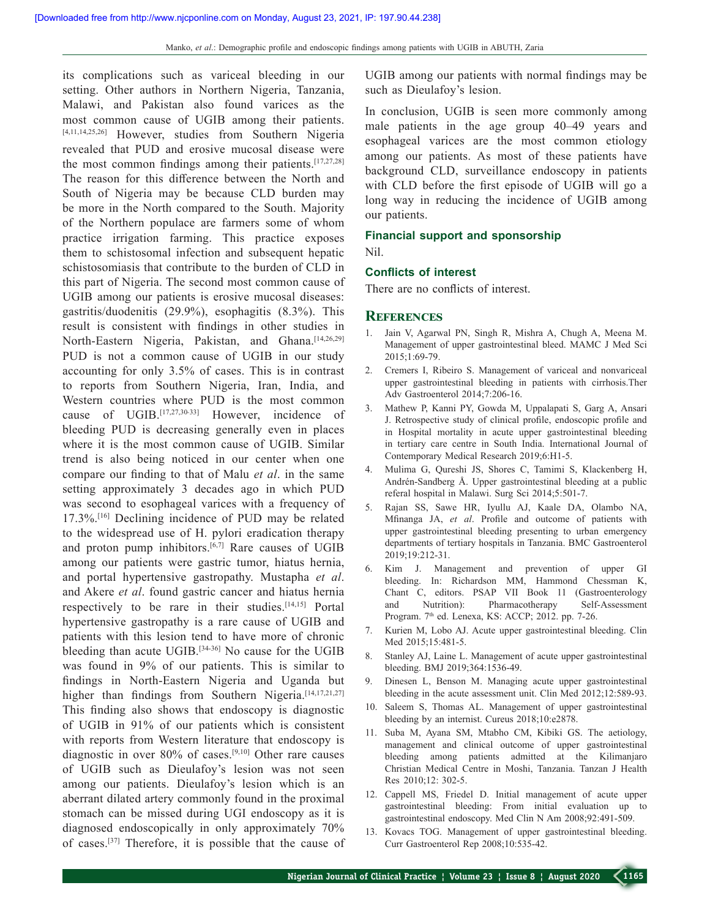its complications such as variceal bleeding in our setting. Other authors in Northern Nigeria, Tanzania, Malawi, and Pakistan also found varices as the most common cause of UGIB among their patients. [4,11,14,25,26] However, studies from Southern Nigeria revealed that PUD and erosive mucosal disease were the most common findings among their patients.<sup>[17,27,28]</sup> The reason for this difference between the North and South of Nigeria may be because CLD burden may be more in the North compared to the South. Majority of the Northern populace are farmers some of whom practice irrigation farming. This practice exposes them to schistosomal infection and subsequent hepatic schistosomiasis that contribute to the burden of CLD in this part of Nigeria. The second most common cause of UGIB among our patients is erosive mucosal diseases: gastritis/duodenitis (29.9%), esophagitis (8.3%). This result is consistent with findings in other studies in North-Eastern Nigeria, Pakistan, and Ghana.<sup>[14,26,29]</sup> PUD is not a common cause of UGIB in our study accounting for only 3.5% of cases. This is in contrast to reports from Southern Nigeria, Iran, India, and Western countries where PUD is the most common cause of UGIB.<sup>[17,27,30-33]</sup> However, incidence of bleeding PUD is decreasing generally even in places where it is the most common cause of UGIB. Similar trend is also being noticed in our center when one compare our finding to that of Malu *et al*. in the same setting approximately 3 decades ago in which PUD was second to esophageal varices with a frequency of 17.3%.[16] Declining incidence of PUD may be related to the widespread use of H. pylori eradication therapy and proton pump inhibitors. $[6,7]$  Rare causes of UGIB among our patients were gastric tumor, hiatus hernia, and portal hypertensive gastropathy. Mustapha *et al*. and Akere *et al*. found gastric cancer and hiatus hernia respectively to be rare in their studies.[14,15] Portal hypertensive gastropathy is a rare cause of UGIB and patients with this lesion tend to have more of chronic bleeding than acute UGIB.<sup>[34-36]</sup> No cause for the UGIB was found in 9% of our patients. This is similar to findings in North-Eastern Nigeria and Uganda but higher than findings from Southern Nigeria.<sup>[14,17,21,27]</sup> This finding also shows that endoscopy is diagnostic of UGIB in 91% of our patients which is consistent with reports from Western literature that endoscopy is diagnostic in over 80% of cases.[9,10] Other rare causes of UGIB such as Dieulafoy's lesion was not seen among our patients. Dieulafoy's lesion which is an aberrant dilated artery commonly found in the proximal stomach can be missed during UGI endoscopy as it is diagnosed endoscopically in only approximately 70% of cases.[37] Therefore, it is possible that the cause of UGIB among our patients with normal findings may be such as Dieulafoy's lesion.

In conclusion, UGIB is seen more commonly among male patients in the age group 40–49 years and esophageal varices are the most common etiology among our patients. As most of these patients have background CLD, surveillance endoscopy in patients with CLD before the first episode of UGIB will go a long way in reducing the incidence of UGIB among our patients.

#### **Financial support and sponsorship**

Nil.

#### **Conflicts of interest**

There are no conflicts of interest.

#### **References**

- 1. Jain V, Agarwal PN, Singh R, Mishra A, Chugh A, Meena M. Management of upper gastrointestinal bleed. MAMC J Med Sci 2015;1:69‑79.
- 2. Cremers I, Ribeiro S. Management of variceal and nonvariceal upper gastrointestinal bleeding in patients with cirrhosis.Ther Adv Gastroenterol 2014;7:206‑16.
- 3. Mathew P, Kanni PY, Gowda M, Uppalapati S, Garg A, Ansari J. Retrospective study of clinical profile, endoscopic profile and in Hospital mortality in acute upper gastrointestinal bleeding in tertiary care centre in South India. International Journal of Contemporary Medical Research 2019;6:H1‑5.
- 4. Mulima G, Qureshi JS, Shores C, Tamimi S, Klackenberg H, Andrén‑Sandberg Å. Upper gastrointestinal bleeding at a public referal hospital in Malawi. Surg Sci 2014;5:501‑7.
- 5. Rajan SS, Sawe HR, Iyullu AJ, Kaale DA, Olambo NA, Mfinanga JA, *et al*. Profile and outcome of patients with upper gastrointestinal bleeding presenting to urban emergency departments of tertiary hospitals in Tanzania. BMC Gastroenterol 2019;19:212‑31.
- 6. Kim J. Management and prevention of upper GI bleeding. In: Richardson MM, Hammond Chessman K, Chant C, editors. PSAP VII Book 11 (Gastroenterology and Nutrition): Pharmacotherapy Self-Assessment Program. 7<sup>th</sup> ed. Lenexa, KS: ACCP; 2012. pp. 7-26.
- 7. Kurien M, Lobo AJ. Acute upper gastrointestinal bleeding. Clin Med 2015;15:481-5.
- 8. Stanley AJ, Laine L. Management of acute upper gastrointestinal bleeding. BMJ 2019;364:1536‑49.
- 9. Dinesen L, Benson M. Managing acute upper gastrointestinal bleeding in the acute assessment unit. Clin Med 2012;12:589-93.
- 10. Saleem S, Thomas AL. Management of upper gastrointestinal bleeding by an internist. Cureus 2018;10:e2878.
- 11. Suba M, Ayana SM, Mtabho CM, Kibiki GS. The aetiology, management and clinical outcome of upper gastrointestinal bleeding among patients admitted at the Kilimanjaro Christian Medical Centre in Moshi, Tanzania. Tanzan J Health Res  2010;12: 302-5.
- 12. Cappell MS, Friedel D. Initial management of acute upper gastrointestinal bleeding: From initial evaluation up to gastrointestinal endoscopy. Med Clin N Am 2008;92:491-509.
- 13. Kovacs TOG. Management of upper gastrointestinal bleeding. Curr Gastroenterol Rep 2008;10:535‑42.